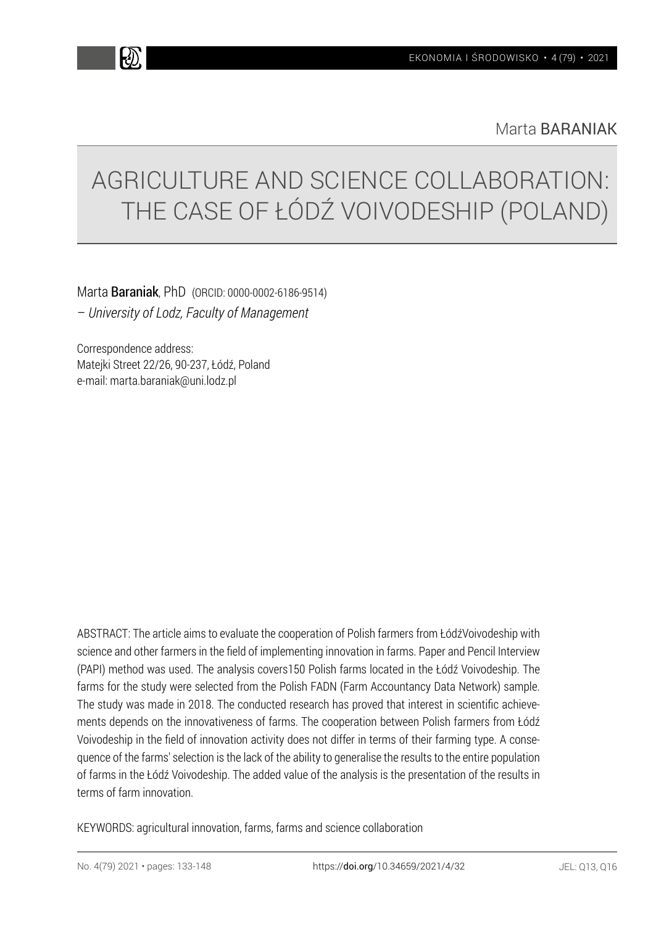k))

Marta BARANIAK

# AGRICULTURE AND SCIENCE COLLABORATION: THE CASE OF ŁÓDŹ VOIVODESHIP (POLAND)

Marta Baraniak, PhD (ORCID: 0000-0002-6186-9514) – *University of Lodz, Faculty of Management*

Correspondence address: Matejki Street 22/26, 90-237, Łódź, Poland e-mail: marta.baraniak@uni.lodz.pl

ABSTRACT: The article aims to evaluate the cooperation of Polish farmers from ŁódźVoivodeship with science and other farmers in the field of implementing innovation in farms. Paper and Pencil Interview (PAPI) method was used. The analysis covers150 Polish farms located in the Łódź Voivodeship. The farms for the study were selected from the Polish FADN (Farm Accountancy Data Network) sample. The study was made in 2018. The conducted research has proved that interest in scientific achievements depends on the innovativeness of farms. The cooperation between Polish farmers from Łódź Voivodeship in the field of innovation activity does not differ in terms of their farming type. A consequence of the farms' selection is the lack of the ability to generalise the results to the entire population of farms in the Łódź Voivodeship. The added value of the analysis is the presentation of the results in terms of farm innovation.

KEYWORDS: agricultural innovation, farms, farms and science collaboration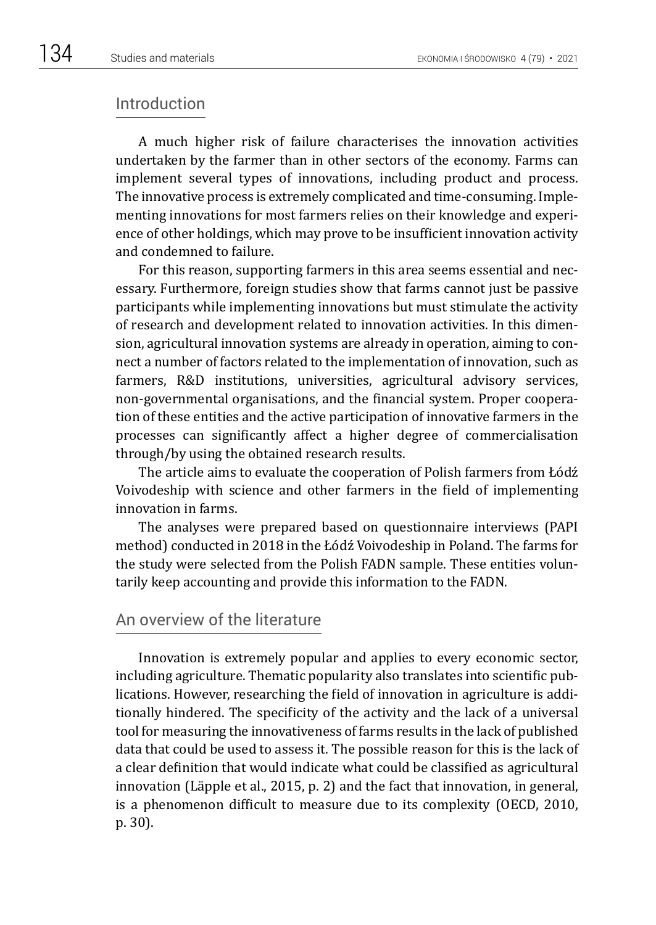## Introduction

A much higher risk of failure characterises the innovation activities undertaken by the farmer than in other sectors of the economy. Farms can implement several types of innovations, including product and process. The innovative process is extremely complicated and time-consuming. Implementing innovations for most farmers relies on their knowledge and experience of other holdings, which may prove to be insufficient innovation activity and condemned to failure.

For this reason, supporting farmers in this area seems essential and necessary. Furthermore, foreign studies show that farms cannot just be passive participants while implementing innovations but must stimulate the activity of research and development related to innovation activities. In this dimension, agricultural innovation systems are already in operation, aiming to connect a number of factors related to the implementation of innovation, such as farmers, R&D institutions, universities, agricultural advisory services, non-governmental organisations, and the financial system. Proper cooperation of these entities and the active participation of innovative farmers in the processes can significantly affect a higher degree of commercialisation through/by using the obtained research results.

The article aims to evaluate the cooperation of Polish farmers from Łódź Voivodeship with science and other farmers in the field of implementing innovation in farms.

The analyses were prepared based on questionnaire interviews (PAPI method) conducted in 2018 in the Łódź Voivodeship in Poland. The farms for the study were selected from the Polish FADN sample. These entities voluntarily keep accounting and provide this information to the FADN.

# An overview of the literature

Innovation is extremely popular and applies to every economic sector, including agriculture. Thematic popularity also translates into scientific publications. However, researching the field of innovation in agriculture is additionally hindered. The specificity of the activity and the lack of a universal tool for measuring the innovativeness of farms results in the lack of published data that could be used to assess it. The possible reason for this is the lack of a clear definition that would indicate what could be classified as agricultural innovation (Läpple et al., 2015, p. 2) and the fact that innovation, in general, is a phenomenon difficult to measure due to its complexity (OECD, 2010, p. 30).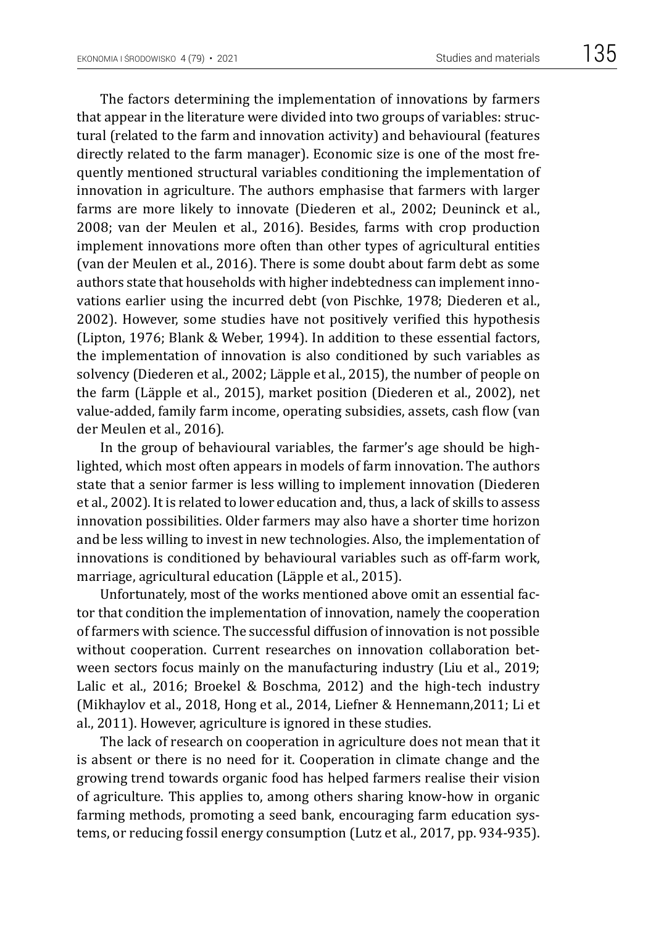The factors determining the implementation of innovations by farmers that appear in the literature were divided into two groups of variables: structural (related to the farm and innovation activity) and behavioural (features directly related to the farm manager). Economic size is one of the most frequently mentioned structural variables conditioning the implementation of innovation in agriculture. The authors emphasise that farmers with larger farms are more likely to innovate (Diederen et al., 2002; Deuninck et al., 2008; van der Meulen et al., 2016). Besides, farms with crop production implement innovations more often than other types of agricultural entities (van der Meulen et al., 2016). There is some doubt about farm debt as some authors state that households with higher indebtedness can implement innovations earlier using the incurred debt (von Pischke, 1978; Diederen et al., 2002). However, some studies have not positively verified this hypothesis (Lipton, 1976; Blank & Weber, 1994). In addition to these essential factors, the implementation of innovation is also conditioned by such variables as solvency (Diederen et al., 2002; Läpple et al., 2015), the number of people on the farm (Läpple et al., 2015), market position (Diederen et al., 2002), net value-added, family farm income, operating subsidies, assets, cash flow (van der Meulen et al., 2016).

In the group of behavioural variables, the farmer's age should be highlighted, which most often appears in models of farm innovation. The authors state that a senior farmer is less willing to implement innovation (Diederen et al., 2002). It is related to lower education and, thus, a lack of skills to assess innovation possibilities. Older farmers may also have a shorter time horizon and be less willing to invest in new technologies. Also, the implementation of innovations is conditioned by behavioural variables such as off-farm work, marriage, agricultural education (Läpple et al., 2015).

Unfortunately, most of the works mentioned above omit an essential factor that condition the implementation of innovation, namely the cooperation of farmers with science. The successful diffusion of innovation is not possible without cooperation. Current researches on innovation collaboration between sectors focus mainly on the manufacturing industry (Liu et al., 2019; Lalic et al., 2016; Broekel & Boschma, 2012) and the high-tech industry (Mikhaylov et al., 2018, Hong et al., 2014, Liefner & Hennemann,2011; Li et al., 2011). However, agriculture is ignored in these studies.

The lack of research on cooperation in agriculture does not mean that it is absent or there is no need for it. Cooperation in climate change and the growing trend towards organic food has helped farmers realise their vision of agriculture. This applies to, among others sharing know-how in organic farming methods, promoting a seed bank, encouraging farm education systems, or reducing fossil energy consumption (Lutz et al., 2017, pp. 934-935).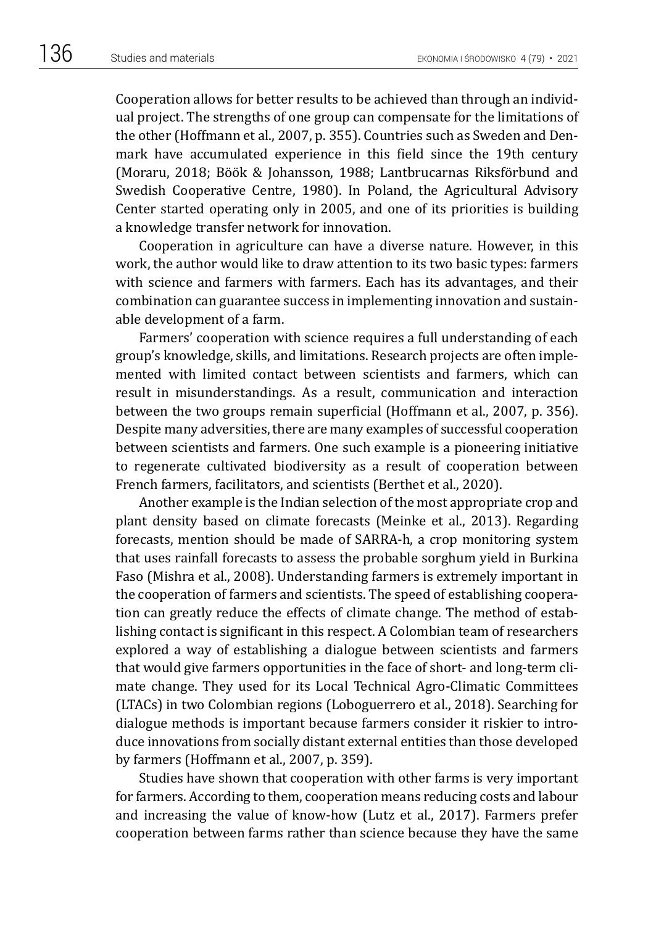Cooperation allows for better results to be achieved than through an individual project. The strengths of one group can compensate for the limitations of the other (Hoffmann et al., 2007, p. 355). Countries such as Sweden and Denmark have accumulated experience in this field since the 19th century (Moraru, 2018; Böök & Johansson, 1988; Lantbrucarnas Riksförbund and Swedish Cooperative Centre, 1980). In Poland, the Agricultural Advisory Center started operating only in 2005, and one of its priorities is building a knowledge transfer network for innovation.

Cooperation in agriculture can have a diverse nature. However, in this work, the author would like to draw attention to its two basic types: farmers with science and farmers with farmers. Each has its advantages, and their combination can guarantee success in implementing innovation and sustainable development of a farm.

Farmers' cooperation with science requires a full understanding of each group's knowledge, skills, and limitations. Research projects are often implemented with limited contact between scientists and farmers, which can result in misunderstandings. As a result, communication and interaction between the two groups remain superficial (Hoffmann et al., 2007, p. 356). Despite many adversities, there are many examples of successful cooperation between scientists and farmers. One such example is a pioneering initiative to regenerate cultivated biodiversity as a result of cooperation between French farmers, facilitators, and scientists (Berthet et al., 2020).

Another example is the Indian selection of the most appropriate crop and plant density based on climate forecasts (Meinke et al., 2013). Regarding forecasts, mention should be made of SARRA-h, a crop monitoring system that uses rainfall forecasts to assess the probable sorghum yield in Burkina Faso (Mishra et al., 2008). Understanding farmers is extremely important in the cooperation of farmers and scientists. The speed of establishing cooperation can greatly reduce the effects of climate change. The method of establishing contact is significant in this respect. A Colombian team of researchers explored a way of establishing a dialogue between scientists and farmers that would give farmers opportunities in the face of short- and long-term climate change. They used for its Local Technical Agro-Climatic Committees (LTACs) in two Colombian regions (Loboguerrero et al., 2018). Searching for dialogue methods is important because farmers consider it riskier to introduce innovations from socially distant external entities than those developed by farmers (Hoffmann et al., 2007, p. 359).

Studies have shown that cooperation with other farms is very important for farmers. According to them, cooperation means reducing costs and labour and increasing the value of know-how (Lutz et al., 2017). Farmers prefer cooperation between farms rather than science because they have the same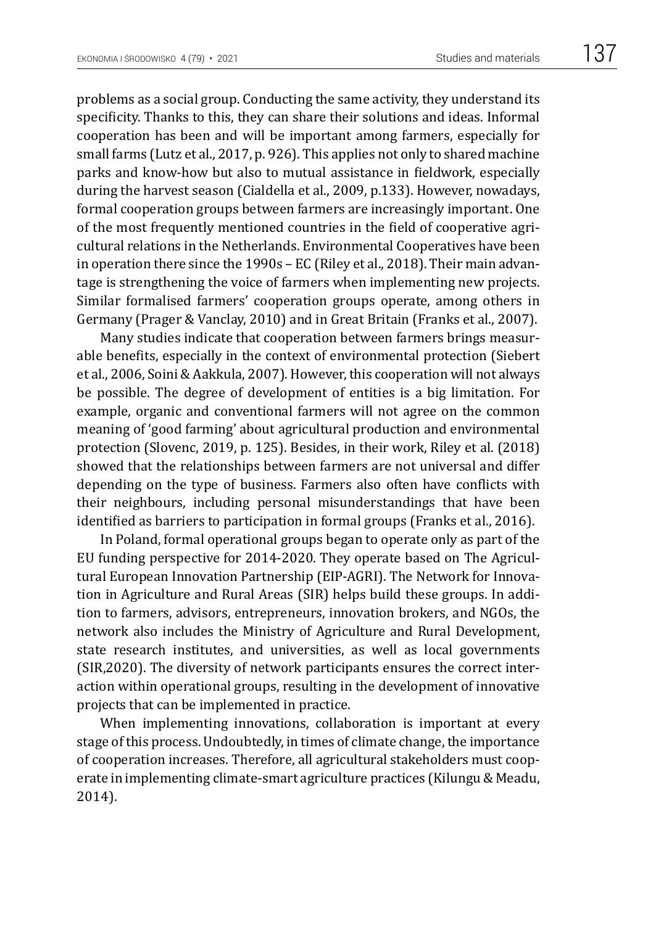problems as a social group. Conducting the same activity, they understand its specificity. Thanks to this, they can share their solutions and ideas. Informal cooperation has been and will be important among farmers, especially for small farms (Lutz et al., 2017, p. 926). This applies not only to shared machine parks and know-how but also to mutual assistance in fieldwork, especially during the harvest season (Cialdella et al., 2009, p.133). However, nowadays, formal cooperation groups between farmers are increasingly important. One of the most frequently mentioned countries in the field of cooperative agricultural relations in the Netherlands. Environmental Cooperatives have been in operation there since the 1990s – EC (Riley et al., 2018). Their main advantage is strengthening the voice of farmers when implementing new projects. Similar formalised farmers' cooperation groups operate, among others in Germany (Prager & Vanclay, 2010) and in Great Britain (Franks et al., 2007).

Many studies indicate that cooperation between farmers brings measurable benefits, especially in the context of environmental protection (Siebert et al., 2006, Soini & Aakkula, 2007). However, this cooperation will not always be possible. The degree of development of entities is a big limitation. For example, organic and conventional farmers will not agree on the common meaning of 'good farming' about agricultural production and environmental protection (Slovenc, 2019, p. 125). Besides, in their work, Riley et al. (2018) showed that the relationships between farmers are not universal and differ depending on the type of business. Farmers also often have conflicts with their neighbours, including personal misunderstandings that have been identified as barriers to participation in formal groups (Franks et al., 2016).

In Poland, formal operational groups began to operate only as part of the EU funding perspective for 2014-2020. They operate based on The Agricultural European Innovation Partnership (EIP-AGRI). The Network for Innovation in Agriculture and Rural Areas (SIR) helps build these groups. In addition to farmers, advisors, entrepreneurs, innovation brokers, and NGOs, the network also includes the Ministry of Agriculture and Rural Development, state research institutes, and universities, as well as local governments (SIR,2020). The diversity of network participants ensures the correct interaction within operational groups, resulting in the development of innovative projects that can be implemented in practice.

When implementing innovations, collaboration is important at every stage of this process. Undoubtedly, in times of climate change, the importance of cooperation increases. Therefore, all agricultural stakeholders must cooperate in implementing climate-smart agriculture practices (Kilungu & Meadu, 2014).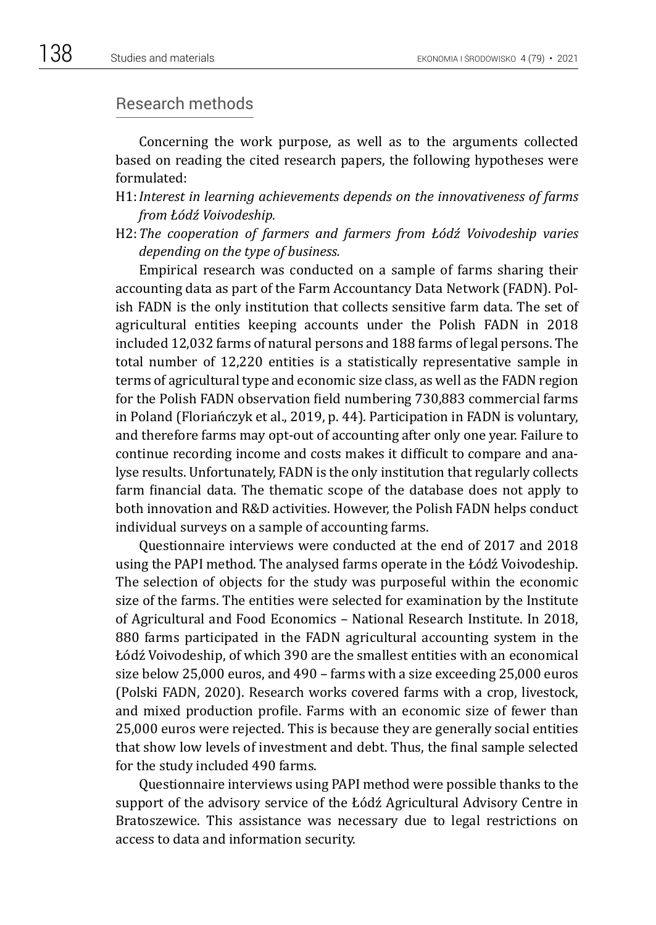## Research methods

Concerning the work purpose, as well as to the arguments collected based on reading the cited research papers, the following hypotheses were formulated:

- H1:*Interest in learning achievements depends on the innovativeness of farms from Łódź Voivodeship.*
- H2:*The cooperation of farmers and farmers from Łódź Voivodeship varies depending on the type of business.*

Empirical research was conducted on a sample of farms sharing their accounting data as part of the Farm Accountancy Data Network (FADN). Polish FADN is the only institution that collects sensitive farm data. The set of agricultural entities keeping accounts under the Polish FADN in 2018 included 12,032 farms of natural persons and 188 farms of legal persons. The total number of 12,220 entities is a statistically representative sample in terms of agricultural type and economic size class, as well as the FADN region for the Polish FADN observation field numbering 730,883 commercial farms in Poland (Floriańczyk et al., 2019, p. 44). Participation in FADN is voluntary, and therefore farms may opt-out of accounting after only one year. Failure to continue recording income and costs makes it difficult to compare and analyse results. Unfortunately, FADN is the only institution that regularly collects farm financial data. The thematic scope of the database does not apply to both innovation and R&D activities. However, the Polish FADN helps conduct individual surveys on a sample of accounting farms.

Questionnaire interviews were conducted at the end of 2017 and 2018 using the PAPI method. The analysed farms operate in the Łódź Voivodeship. The selection of objects for the study was purposeful within the economic size of the farms. The entities were selected for examination by the Institute of Agricultural and Food Economics – National Research Institute. In 2018, 880 farms participated in the FADN agricultural accounting system in the Łódź Voivodeship, of which 390 are the smallest entities with an economical size below 25,000 euros, and 490 – farms with a size exceeding 25,000 euros (Polski FADN, 2020). Research works covered farms with a crop, livestock, and mixed production profile. Farms with an economic size of fewer than 25,000 euros were rejected. This is because they are generally social entities that show low levels of investment and debt. Thus, the final sample selected for the study included 490 farms.

Questionnaire interviews using PAPI method were possible thanks to the support of the advisory service of the Łódź Agricultural Advisory Centre in Bratoszewice. This assistance was necessary due to legal restrictions on access to data and information security.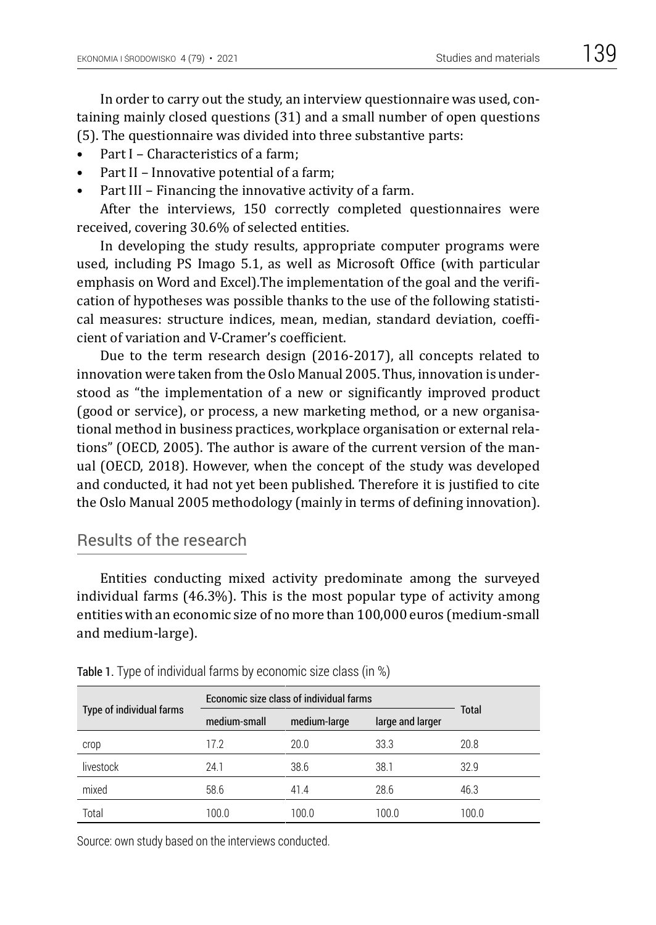In order to carry out the study, an interview questionnaire was used, containing mainly closed questions (31) and a small number of open questions (5). The questionnaire was divided into three substantive parts:

- Part I Characteristics of a farm:
- Part II Innovative potential of a farm;
- Part III Financing the innovative activity of a farm.

After the interviews, 150 correctly completed questionnaires were received, covering 30.6% of selected entities.

In developing the study results, appropriate computer programs were used, including PS Imago 5.1, as well as Microsoft Office (with particular emphasis on Word and Excel).The implementation of the goal and the verification of hypotheses was possible thanks to the use of the following statistical measures: structure indices, mean, median, standard deviation, coefficient of variation and V-Cramer's coefficient.

Due to the term research design (2016-2017), all concepts related to innovation were taken from the Oslo Manual 2005. Thus, innovation is understood as "the implementation of a new or significantly improved product (good or service), or process, a new marketing method, or a new organisational method in business practices, workplace organisation or external relations" (OECD, 2005). The author is aware of the current version of the manual (OECD, 2018). However, when the concept of the study was developed and conducted, it had not yet been published. Therefore it is justified to cite the Oslo Manual 2005 methodology (mainly in terms of defining innovation).

# Results of the research

Entities conducting mixed activity predominate among the surveyed individual farms (46.3%). This is the most popular type of activity among entities with an economic size of no more than 100,000 euros (medium-small and medium-large).

|                          | Economic size class of individual farms |              |                  |       |
|--------------------------|-----------------------------------------|--------------|------------------|-------|
| Type of individual farms | medium-small                            | medium-large | large and larger | Total |
| crop                     | 17.2                                    | 20.0         | 33.3             | 20.8  |
| livestock                | 24.1                                    | 38.6         | 38.1             | 32.9  |
| mixed                    | 58.6                                    | 41.4         | 28.6             | 46.3  |
| Total                    | 100.0                                   | 100.0        | 100.0            | 100.0 |

Table 1. Type of individual farms by economic size class (in %)

Source: own study based on the interviews conducted.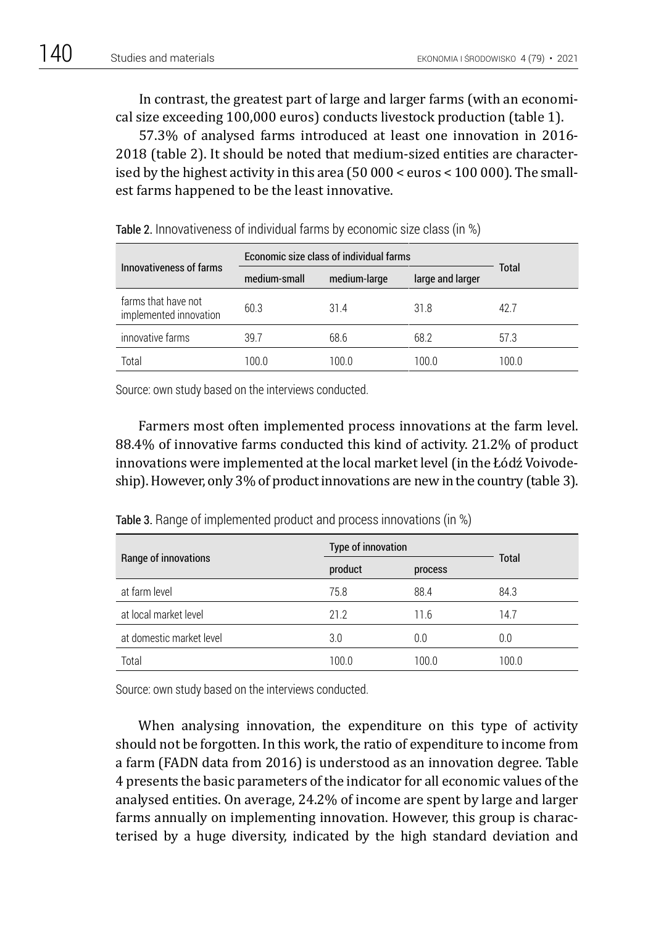In contrast, the greatest part of large and larger farms (with an economical size exceeding 100,000 euros) conducts livestock production (table 1).

57.3% of analysed farms introduced at least one innovation in 2016- 2018 (table 2). It should be noted that medium-sized entities are characterised by the highest activity in this area (50 000 < euros < 100 000). The smallest farms happened to be the least innovative.

|                                               | Economic size class of individual farms |                                  |       |       |
|-----------------------------------------------|-----------------------------------------|----------------------------------|-------|-------|
| Innovativeness of farms                       | medium-small                            | medium-large<br>large and larger |       | Total |
| farms that have not<br>implemented innovation | 60.3                                    | 314                              | 31.8  | 42.7  |
| innovative farms                              | 39.7                                    | 68.6                             | 68.2  | 57.3  |
| Total                                         | 100 O                                   | 100 O                            | 100 O | 100 O |

Table 2. Innovativeness of individual farms by economic size class (in %)

Source: own study based on the interviews conducted.

Farmers most often implemented process innovations at the farm level. 88.4% of innovative farms conducted this kind of activity. 21.2% of product innovations were implemented at the local market level (in the Łódź Voivodeship). However, only 3% of product innovations are new in the country (table 3).

| Range of innovations     | Type of innovation |         |       |
|--------------------------|--------------------|---------|-------|
|                          | product            | process | Total |
| at farm level            | 75.8               | 88.4    | 84.3  |
| at local market level    | 21.2               | 11.6    | 14.7  |
| at domestic market level | 3.0                | 0.0     | 0.0   |
| Total                    | 100.0              | 100.0   | 100.0 |

Table 3. Range of implemented product and process innovations (in %)

Source: own study based on the interviews conducted.

When analysing innovation, the expenditure on this type of activity should not be forgotten. In this work, the ratio of expenditure to income from a farm (FADN data from 2016) is understood as an innovation degree. Table 4 presents the basic parameters of the indicator for all economic values of the analysed entities. On average, 24.2% of income are spent by large and larger farms annually on implementing innovation. However, this group is characterised by a huge diversity, indicated by the high standard deviation and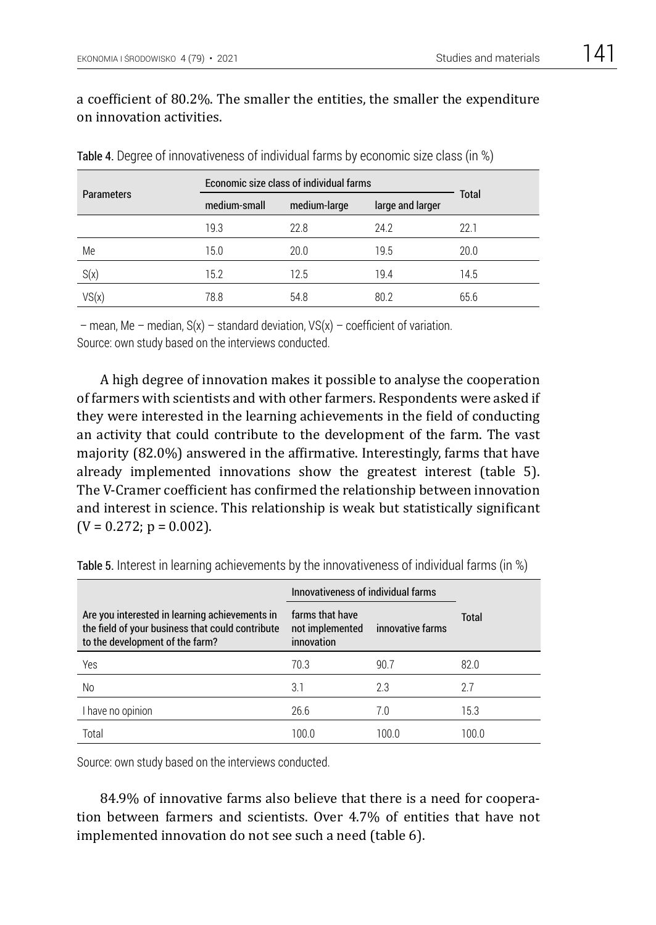# a coefficient of 80.2%. The smaller the entities, the smaller the expenditure on innovation activities.

|                   | Economic size class of individual farms |              |                  |              |
|-------------------|-----------------------------------------|--------------|------------------|--------------|
| <b>Parameters</b> | medium-small                            | medium-large | large and larger | <b>Total</b> |
|                   | 19.3                                    | 22.8         | 24.2             | 22.1         |
| Me                | 15.0                                    | 20.0         | 19.5             | 20.0         |
| S(x)              | 15.2                                    | 12.5         | 19.4             | 14.5         |
| VS(x)             | 78.8                                    | 54.8         | 80.2             | 65.6         |

Table 4. Degree of innovativeness of individual farms by economic size class (in %)

 $-$  mean, Me – median,  $S(x)$  – standard deviation,  $VS(x)$  – coefficient of variation. Source: own study based on the interviews conducted.

A high degree of innovation makes it possible to analyse the cooperation of farmers with scientists and with other farmers. Respondents were asked if they were interested in the learning achievements in the field of conducting an activity that could contribute to the development of the farm. The vast majority (82.0%) answered in the affirmative. Interestingly, farms that have already implemented innovations show the greatest interest (table 5). The V-Cramer coefficient has confirmed the relationship between innovation and interest in science. This relationship is weak but statistically significant  $(V = 0.272; p = 0.002)$ .

|                                                                                                                                       | Innovativeness of individual farms               |                  |              |
|---------------------------------------------------------------------------------------------------------------------------------------|--------------------------------------------------|------------------|--------------|
| Are you interested in learning achievements in<br>the field of your business that could contribute<br>to the development of the farm? | farms that have<br>not implemented<br>innovation | innovative farms | <b>Total</b> |
| Yes                                                                                                                                   | 70.3                                             | 90.7             | 82.0         |
| No                                                                                                                                    | 3.1                                              | 2.3              | 2.7          |
| I have no opinion                                                                                                                     | 26.6                                             | 7.0              | 15.3         |
| Total                                                                                                                                 | 100.0                                            | 100.0            | 100.0        |

Table 5. Interest in learning achievements by the innovativeness of individual farms (in %)

Source: own study based on the interviews conducted.

84.9% of innovative farms also believe that there is a need for cooperation between farmers and scientists. Over 4.7% of entities that have not implemented innovation do not see such a need (table 6).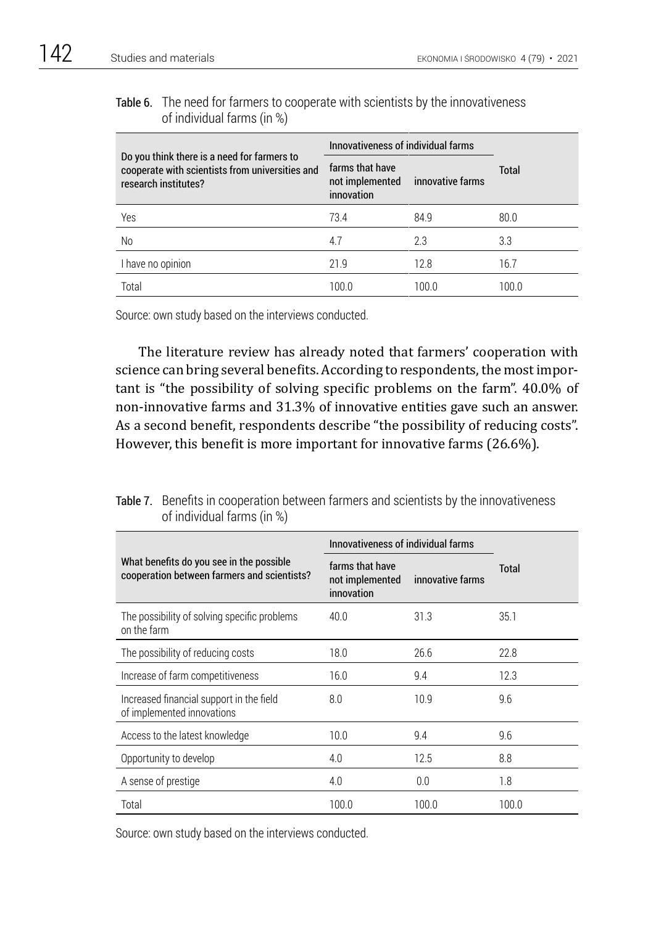## Table 6. The need for farmers to cooperate with scientists by the innovativeness of individual farms (in %)

|                                                                                                                        | Innovativeness of individual farms               |                  |       |  |
|------------------------------------------------------------------------------------------------------------------------|--------------------------------------------------|------------------|-------|--|
| Do you think there is a need for farmers to<br>cooperate with scientists from universities and<br>research institutes? | farms that have<br>not implemented<br>innovation | innovative farms | Total |  |
| Yes                                                                                                                    | 73.4                                             | 84.9             | 80.0  |  |
| No                                                                                                                     | 4.7                                              | 2.3              | 3.3   |  |
| I have no opinion                                                                                                      | 21.9                                             | 12.8             | 16.7  |  |
| Total                                                                                                                  | 100.0                                            | 100.0            | 100.0 |  |

Source: own study based on the interviews conducted.

The literature review has already noted that farmers' cooperation with science can bring several benefits. According to respondents, the most important is "the possibility of solving specific problems on the farm". 40.0% of non-innovative farms and 31.3% of innovative entities gave such an answer. As a second benefit, respondents describe "the possibility of reducing costs". However, this benefit is more important for innovative farms (26.6%).

|                                                                                         | Innovativeness of individual farms               |                  |       |
|-----------------------------------------------------------------------------------------|--------------------------------------------------|------------------|-------|
| What benefits do you see in the possible<br>cooperation between farmers and scientists? | farms that have<br>not implemented<br>innovation | innovative farms | Total |
| The possibility of solving specific problems<br>on the farm                             | 40.0                                             | 31.3             | 35.1  |
| The possibility of reducing costs                                                       | 18.0                                             | 26.6             | 22.8  |
| Increase of farm competitiveness                                                        | 16.0                                             | 9.4              | 12.3  |
| Increased financial support in the field<br>of implemented innovations                  | 8.0                                              | 10.9             | 9.6   |
| Access to the latest knowledge                                                          | 10.0                                             | 9.4              | 9.6   |
| Opportunity to develop                                                                  | 4.0                                              | 12.5             | 8.8   |
| A sense of prestige                                                                     | 4.0                                              | 0.0              | 1.8   |
| Total                                                                                   | 100.0                                            | 100.0            | 100.0 |

Table 7. Benefits in cooperation between farmers and scientists by the innovativeness of individual farms (in %)

Source: own study based on the interviews conducted.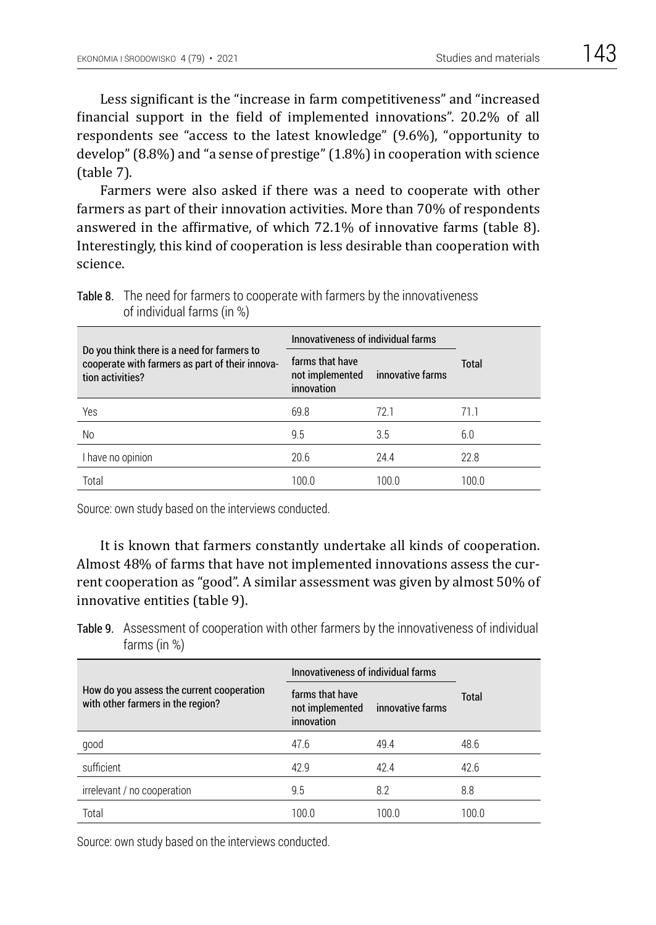Less significant is the "increase in farm competitiveness" and "increased financial support in the field of implemented innovations". 20.2% of all respondents see "access to the latest knowledge" (9.6%), "opportunity to develop" (8.8%) and "a sense of prestige" (1.8%) in cooperation with science (table 7).

Farmers were also asked if there was a need to cooperate with other farmers as part of their innovation activities. More than 70% of respondents answered in the affirmative, of which 72.1% of innovative farms (table 8). Interestingly, this kind of cooperation is less desirable than cooperation with science.

|                                                                                                                    | Innovativeness of individual farms               |                  |       |  |
|--------------------------------------------------------------------------------------------------------------------|--------------------------------------------------|------------------|-------|--|
| Do you think there is a need for farmers to<br>cooperate with farmers as part of their innova-<br>tion activities? | farms that have<br>not implemented<br>innovation | innovative farms | Total |  |
| Yes                                                                                                                | 69.8                                             | 72 1             | 71.1  |  |
| No                                                                                                                 | 9.5                                              | 3.5              | 6.0   |  |
| I have no opinion                                                                                                  | 20.6                                             | 24.4             | 22.8  |  |
| Total                                                                                                              | 100.0                                            | 100.0            | 100.0 |  |

Table 8. The need for farmers to cooperate with farmers by the innovativeness of individual farms (in %)

Source: own study based on the interviews conducted.

It is known that farmers constantly undertake all kinds of cooperation. Almost 48% of farms that have not implemented innovations assess the current cooperation as "good". A similar assessment was given by almost 50% of innovative entities (table 9).

Table 9. Assessment of cooperation with other farmers by the innovativeness of individual farms (in %)

|                                                                                | Innovativeness of individual farms               |                  |              |
|--------------------------------------------------------------------------------|--------------------------------------------------|------------------|--------------|
| How do you assess the current cooperation<br>with other farmers in the region? | farms that have<br>not implemented<br>innovation | innovative farms | <b>Total</b> |
| good                                                                           | 47.6                                             | 49.4             | 48.6         |
| sufficient                                                                     | 42.9                                             | 42.4             | 42.6         |
| irrelevant / no cooperation                                                    | 9.5                                              | 8.2              | 8.8          |
| Total                                                                          | 100.0                                            | 100.0            | 100.0        |

Source: own study based on the interviews conducted.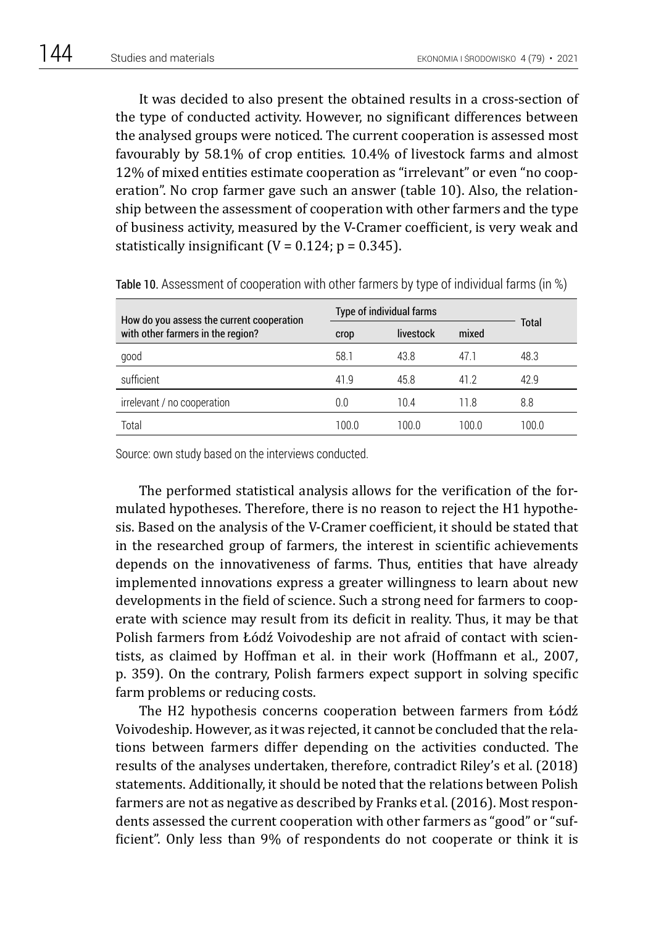It was decided to also present the obtained results in a cross-section of the type of conducted activity. However, no significant differences between the analysed groups were noticed. The current cooperation is assessed most favourably by 58.1% of crop entities. 10.4% of livestock farms and almost 12% of mixed entities estimate cooperation as "irrelevant" or even "no cooperation". No crop farmer gave such an answer (table 10). Also, the relationship between the assessment of cooperation with other farmers and the type of business activity, measured by the V-Cramer coefficient, is very weak and statistically insignificant ( $V = 0.124$ ;  $p = 0.345$ ).

| How do you assess the current cooperation | Type of individual farms |           |       |       |
|-------------------------------------------|--------------------------|-----------|-------|-------|
| with other farmers in the region?         | crop                     | livestock | mixed | Total |
| good                                      | 58.1                     | 43.8      | 47.1  | 48.3  |
| sufficient                                | 41.9                     | 45.8      | 412   | 42.9  |
| irrelevant / no cooperation               | 0.0                      | 104       | 11.8  | 8.8   |
| Total                                     | 100.0                    | 100.0     | 100.0 | 100.0 |

Table 10. Assessment of cooperation with other farmers by type of individual farms (in %)

Source: own study based on the interviews conducted.

The performed statistical analysis allows for the verification of the formulated hypotheses. Therefore, there is no reason to reject the H1 hypothesis. Based on the analysis of the V-Cramer coefficient, it should be stated that in the researched group of farmers, the interest in scientific achievements depends on the innovativeness of farms. Thus, entities that have already implemented innovations express a greater willingness to learn about new developments in the field of science. Such a strong need for farmers to cooperate with science may result from its deficit in reality. Thus, it may be that Polish farmers from Łódź Voivodeship are not afraid of contact with scientists, as claimed by Hoffman et al. in their work (Hoffmann et al., 2007, p. 359). On the contrary, Polish farmers expect support in solving specific farm problems or reducing costs.

The H2 hypothesis concerns cooperation between farmers from Łódź Voivodeship. However, as it was rejected, it cannot be concluded that the relations between farmers differ depending on the activities conducted. The results of the analyses undertaken, therefore, contradict Riley's et al. (2018) statements. Additionally, it should be noted that the relations between Polish farmers are not as negative as described by Franks et al. (2016). Most respondents assessed the current cooperation with other farmers as "good" or "sufficient". Only less than 9% of respondents do not cooperate or think it is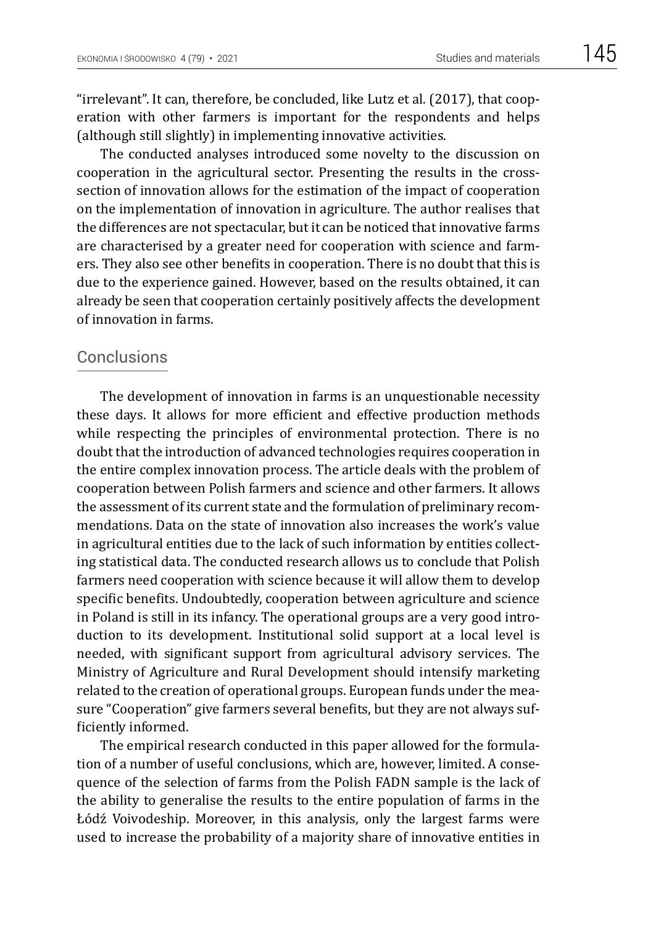"irrelevant". It can, therefore, be concluded, like Lutz et al. (2017), that cooperation with other farmers is important for the respondents and helps (although still slightly) in implementing innovative activities.

The conducted analyses introduced some novelty to the discussion on cooperation in the agricultural sector. Presenting the results in the crosssection of innovation allows for the estimation of the impact of cooperation on the implementation of innovation in agriculture. The author realises that the differences are not spectacular, but it can be noticed that innovative farms are characterised by a greater need for cooperation with science and farmers. They also see other benefits in cooperation. There is no doubt that this is due to the experience gained. However, based on the results obtained, it can already be seen that cooperation certainly positively affects the development of innovation in farms.

# Conclusions

The development of innovation in farms is an unquestionable necessity these days. It allows for more efficient and effective production methods while respecting the principles of environmental protection. There is no doubt that the introduction of advanced technologies requires cooperation in the entire complex innovation process. The article deals with the problem of cooperation between Polish farmers and science and other farmers. It allows the assessment of its current state and the formulation of preliminary recommendations. Data on the state of innovation also increases the work's value in agricultural entities due to the lack of such information by entities collecting statistical data. The conducted research allows us to conclude that Polish farmers need cooperation with science because it will allow them to develop specific benefits. Undoubtedly, cooperation between agriculture and science in Poland is still in its infancy. The operational groups are a very good introduction to its development. Institutional solid support at a local level is needed, with significant support from agricultural advisory services. The Ministry of Agriculture and Rural Development should intensify marketing related to the creation of operational groups. European funds under the measure "Cooperation" give farmers several benefits, but they are not always sufficiently informed.

The empirical research conducted in this paper allowed for the formulation of a number of useful conclusions, which are, however, limited. A consequence of the selection of farms from the Polish FADN sample is the lack of the ability to generalise the results to the entire population of farms in the Łódź Voivodeship. Moreover, in this analysis, only the largest farms were used to increase the probability of a majority share of innovative entities in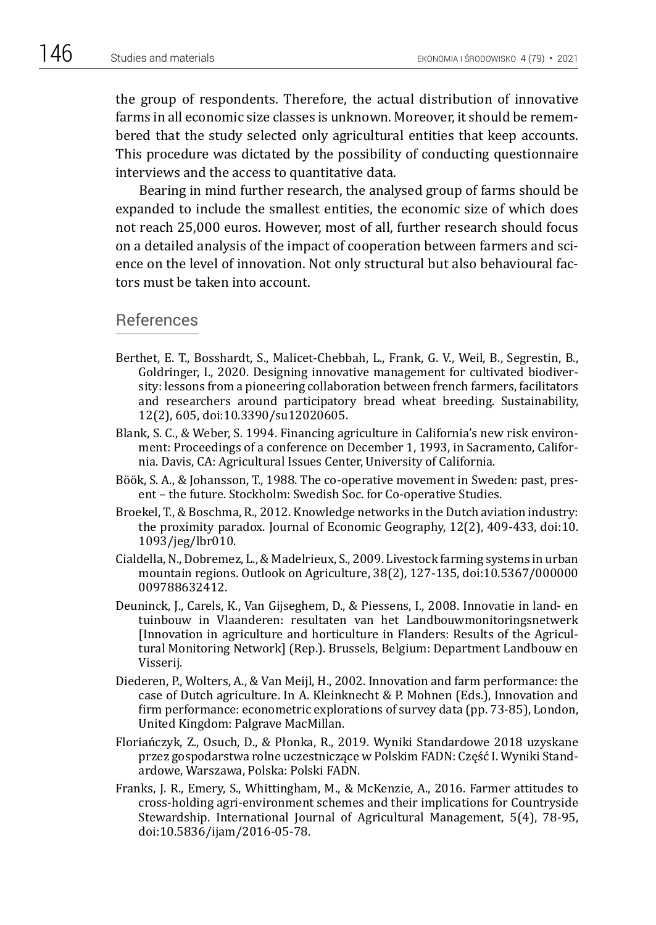the group of respondents. Therefore, the actual distribution of innovative farms in all economic size classes is unknown. Moreover, it should be remembered that the study selected only agricultural entities that keep accounts. This procedure was dictated by the possibility of conducting questionnaire interviews and the access to quantitative data.

Bearing in mind further research, the analysed group of farms should be expanded to include the smallest entities, the economic size of which does not reach 25,000 euros. However, most of all, further research should focus on a detailed analysis of the impact of cooperation between farmers and science on the level of innovation. Not only structural but also behavioural factors must be taken into account.

#### References

- Berthet, E. T., Bosshardt, S., Malicet-Chebbah, L., Frank, G. V., Weil, B., Segrestin, B., Goldringer, I., 2020. Designing innovative management for cultivated biodiversity: lessons from a pioneering collaboration between french farmers, facilitators and researchers around participatory bread wheat breeding. Sustainability, 12(2), 605, doi:10.3390/su12020605.
- Blank, S. C., & Weber, S. 1994. Financing agriculture in California's new risk environment: Proceedings of a conference on December 1, 1993, in Sacramento, California. Davis, CA: Agricultural Issues Center, University of California.
- Böök, S. A., & Johansson, T., 1988. The co-operative movement in Sweden: past, present – the future. Stockholm: Swedish Soc. for Co-operative Studies.
- Broekel, T., & Boschma, R., 2012. Knowledge networks in the Dutch aviation industry: the proximity paradox. Journal of Economic Geography, 12(2), 409-433, doi:10. 1093/jeg/lbr010.
- Cialdella, N., Dobremez, L., & Madelrieux, S., 2009. Livestock farming systems in urban mountain regions. Outlook on Agriculture, 38(2), 127-135, doi:10.5367/000000 009788632412.
- Deuninck, J., Carels, K., Van Gijseghem, D., & Piessens, I., 2008. Innovatie in land- en tuinbouw in Vlaanderen: resultaten van het Landbouwmonitoringsnetwerk [Innovation in agriculture and horticulture in Flanders: Results of the Agricultural Monitoring Network] (Rep.). Brussels, Belgium: Department Landbouw en Visserij.
- Diederen, P., Wolters, A., & Van Meijl, H., 2002. Innovation and farm performance: the case of Dutch agriculture. In A. Kleinknecht & P. Mohnen (Eds.), Innovation and firm performance: econometric explorations of survey data (pp. 73-85), London, United Kingdom: Palgrave MacMillan.
- Floriańczyk, Z., Osuch, D., & Płonka, R., 2019. Wyniki Standardowe 2018 uzyskane przez gospodarstwa rolne uczestniczące w Polskim FADN: Część I. Wyniki Standardowe, Warszawa, Polska: Polski FADN.
- Franks, J. R., Emery, S., Whittingham, M., & McKenzie, A., 2016. Farmer attitudes to cross-holding agri-environment schemes and their implications for Countryside Stewardship. International Journal of Agricultural Management, 5(4), 78-95, doi:10.5836/ijam/2016-05-78.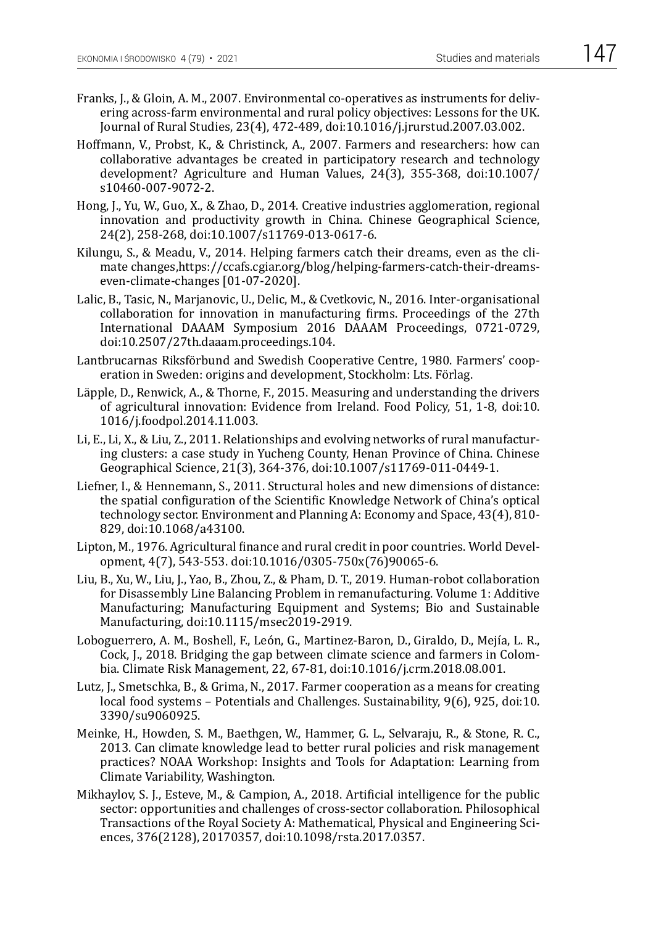- Franks, J., & Gloin, A. M., 2007. Environmental co-operatives as instruments for delivering across-farm environmental and rural policy objectives: Lessons for the UK. Journal of Rural Studies, 23(4), 472-489, doi:10.1016/j.jrurstud.2007.03.002.
- Hoffmann, V., Probst, K., & Christinck, A., 2007. Farmers and researchers: how can collaborative advantages be created in participatory research and technology development? Agriculture and Human Values, 24(3), 355-368, doi:10.1007/ s10460-007-9072-2.
- Hong, J., Yu, W., Guo, X., & Zhao, D., 2014. Creative industries agglomeration, regional innovation and productivity growth in China. Chinese Geographical Science, 24(2), 258-268, doi:10.1007/s11769-013-0617-6.
- Kilungu, S., & Meadu, V., 2014. Helping farmers catch their dreams, even as the climate changes,https://ccafs.cgiar.org/blog/helping-farmers-catch-their-dreamseven-climate-changes [01-07-2020].
- Lalic, B., Tasic, N., Marjanovic, U., Delic, M., & Cvetkovic, N., 2016. Inter-organisational collaboration for innovation in manufacturing firms. Proceedings of the 27th International DAAAM Symposium 2016 DAAAM Proceedings, 0721-0729, doi:10.2507/27th.daaam.proceedings.104.
- Lantbrucarnas Riksförbund and Swedish Cooperative Centre, 1980. Farmers' cooperation in Sweden: origins and development, Stockholm: Lts. Förlag.
- Läpple, D., Renwick, A., & Thorne, F., 2015. Measuring and understanding the drivers of agricultural innovation: Evidence from Ireland. Food Policy, 51, 1-8, doi:10. 1016/j.foodpol.2014.11.003.
- Li, E., Li, X., & Liu, Z., 2011. Relationships and evolving networks of rural manufacturing clusters: a case study in Yucheng County, Henan Province of China. Chinese Geographical Science, 21(3), 364-376, doi:10.1007/s11769-011-0449-1.
- Liefner, I., & Hennemann, S., 2011. Structural holes and new dimensions of distance: the spatial configuration of the Scientific Knowledge Network of China's optical technology sector. Environment and Planning A: Economy and Space, 43(4), 810- 829, doi:10.1068/a43100.
- Lipton, M., 1976. Agricultural finance and rural credit in poor countries. World Development, 4(7), 543-553. doi:10.1016/0305-750x(76)90065-6.
- Liu, B., Xu, W., Liu, J., Yao, B., Zhou, Z., & Pham, D. T., 2019. Human-robot collaboration for Disassembly Line Balancing Problem in remanufacturing. Volume 1: Additive Manufacturing; Manufacturing Equipment and Systems; Bio and Sustainable Manufacturing, doi:10.1115/msec2019-2919.
- Loboguerrero, A. M., Boshell, F., León, G., Martinez-Baron, D., Giraldo, D., Mejía, L. R., Cock, J., 2018. Bridging the gap between climate science and farmers in Colombia. Climate Risk Management, 22, 67-81, doi:10.1016/j.crm.2018.08.001.
- Lutz, J., Smetschka, B., & Grima, N., 2017. Farmer cooperation as a means for creating local food systems – Potentials and Challenges. Sustainability, 9(6), 925, doi:10. 3390/su9060925.
- Meinke, H., Howden, S. M., Baethgen, W., Hammer, G. L., Selvaraju, R., & Stone, R. C., 2013. Can climate knowledge lead to better rural policies and risk management practices? NOAA Workshop: Insights and Tools for Adaptation: Learning from Climate Variability, Washington.
- Mikhaylov, S. J., Esteve, M., & Campion, A., 2018. Artificial intelligence for the public sector: opportunities and challenges of cross-sector collaboration. Philosophical Transactions of the Royal Society A: Mathematical, Physical and Engineering Sciences, 376(2128), 20170357, doi:10.1098/rsta.2017.0357.